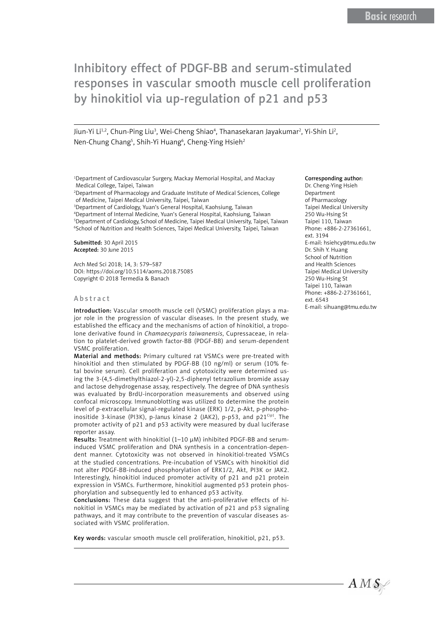Jiun-Yi Li<sup>1,2</sup>, Chun-Ping Liu<sup>3</sup>, Wei-Cheng Shiao<sup>4</sup>, Thanasekaran Jayakumar<sup>2</sup>, Yi-Shin Li<sup>2</sup>, Nen-Chung Chang<sup>5</sup>, Shih-Yi Huang<sup>6</sup>, Cheng-Ying Hsieh<sup>2</sup>

1 Department of Cardiovascular Surgery, Mackay Memorial Hospital, and Mackay Medical College, Taipei, Taiwan

2 Department of Pharmacology and Graduate Institute of Medical Sciences, College of Medicine, Taipei Medical University, Taipei, Taiwan

3 Department of Cardiology, Yuan's General Hospital, Kaohsiung, Taiwan

4 Department of Internal Medicine, Yuan's General Hospital, Kaohsiung, Taiwan <sup>5</sup>Department of Cardiology, School of Medicine, Taipei Medical University, Taipei, Taiwan 6 School of Nutrition and Health Sciences, Taipei Medical University, Taipei, Taiwan

Submitted: 30 April 2015 Accepted: 30 June 2015

Arch Med Sci 2018; 14, 3: 579–587 DOI: https://doi.org/10.5114/aoms.2018.75085 Copyright © 2018 Termedia & Banach

#### Abstract

Introduction: Vascular smooth muscle cell (VSMC) proliferation plays a major role in the progression of vascular diseases. In the present study, we established the efficacy and the mechanisms of action of hinokitiol, a tropolone derivative found in *Chamaecyparis taiwanensis*, Cupressaceae, in relation to platelet-derived growth factor-BB (PDGF-BB) and serum-dependent VSMC proliferation.

Material and methods: Primary cultured rat VSMCs were pre-treated with hinokitiol and then stimulated by PDGF-BB (10 ng/ml) or serum (10% fetal bovine serum). Cell proliferation and cytotoxicity were determined using the 3-(4,5-dimethylthiazol-2-yl)-2,5-diphenyl tetrazolium bromide assay and lactose dehydrogenase assay, respectively. The degree of DNA synthesis was evaluated by BrdU-incorporation measurements and observed using confocal microscopy. Immunoblotting was utilized to determine the protein level of p-extracellular signal-regulated kinase (ERK) 1/2, p-Akt, p-phosphoinositide 3-kinase (PI3K), p-Janus kinase 2 (JAK2), p-p53, and  $p21^{Cip1}$ . The promoter activity of p21 and p53 activity were measured by dual luciferase reporter assay.

Results: Treatment with hinokitiol (1–10 µM) inhibited PDGF-BB and seruminduced VSMC proliferation and DNA synthesis in a concentration-dependent manner. Cytotoxicity was not observed in hinokitiol-treated VSMCs at the studied concentrations. Pre-incubation of VSMCs with hinokitiol did not alter PDGF-BB-induced phosphorylation of ERK1/2, Akt, PI3K or JAK2. Interestingly, hinokitiol induced promoter activity of p21 and p21 protein expression in VSMCs. Furthermore, hinokitiol augmented p53 protein phosphorylation and subsequently led to enhanced p53 activity.

Conclusions: These data suggest that the anti-proliferative effects of hinokitiol in VSMCs may be mediated by activation of p21 and p53 signaling pathways, and it may contribute to the prevention of vascular diseases associated with VSMC proliferation.

Key words: vascular smooth muscle cell proliferation, hinokitiol, p21, p53.

#### Corresponding author:

Dr. Cheng-Ying Hsieh Department of Pharmacology Taipei Medical University 250 Wu-Hsing St Taipei 110, Taiwan Phone: +886-2-27361661, ext. 3194 E-mail: [hsiehcy@tmu.edu.tw](mailto:hsiehcy@tmu.edu.tw) Dr. Shih Y. Huang School of Nutrition and Health Sciences Taipei Medical University 250 Wu-Hsing St Taipei 110, Taiwan Phone: +886-2-27361661, ext. 6543 E-mail: sihuang@tmu.edu.tw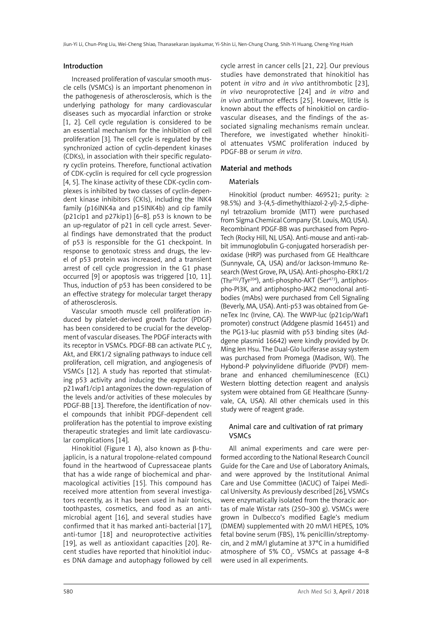#### Introduction

Increased proliferation of vascular smooth muscle cells (VSMCs) is an important phenomenon in the pathogenesis of atherosclerosis, which is the underlying pathology for many cardiovascular diseases such as myocardial infarction or stroke [1, 2]. Cell cycle regulation is considered to be an essential mechanism for the inhibition of cell proliferation [3]. The cell cycle is regulated by the synchronized action of cyclin-dependent kinases (CDKs), in association with their specific regulatory cyclin proteins. Therefore, functional activation of CDK-cyclin is required for cell cycle progression [4, 5]. The kinase activity of these CDK-cyclin complexes is inhibited by two classes of cyclin-dependent kinase inhibitors (CKIs), including the INK4 family (p16INK4a and p15INK4b) and cip family (p21cip1 and p27kip1) [6–8]. p53 is known to be an up-regulator of p21 in cell cycle arrest. Several findings have demonstrated that the product of p53 is responsible for the G1 checkpoint. In response to genotoxic stress and drugs, the level of p53 protein was increased, and a transient arrest of cell cycle progression in the G1 phase occurred [9] or apoptosis was triggered [10, 11]. Thus, induction of p53 has been considered to be an effective strategy for molecular target therapy of atherosclerosis.

Vascular smooth muscle cell proliferation induced by platelet-derived growth factor (PDGF) has been considered to be crucial for the development of vascular diseases. The PDGF interacts with its receptor in VSMCs. PDGF-BB can activate PLC  $\gamma$ , Akt, and ERK1/2 signaling pathways to induce cell proliferation, cell migration, and angiogenesis of VSMCs [12]. A study has reported that stimulating p53 activity and inducing the expression of p21waf1/cip1 antagonizes the down-regulation of the levels and/or activities of these molecules by PDGF-BB [13]. Therefore, the identification of novel compounds that inhibit PDGF-dependent cell proliferation has the potential to improve existing therapeutic strategies and limit late cardiovascular complications [14].

Hinokitiol (Figure 1 A), also known as β-thujaplicin, is a natural tropolone-related compound found in the heartwood of Cupressaceae plants that has a wide range of biochemical and pharmacological activities [15]. This compound has received more attention from several investigators recently, as it has been used in hair tonics, toothpastes, cosmetics, and food as an antimicrobial agent [16], and several studies have confirmed that it has marked anti-bacterial [17], anti-tumor [18] and neuroprotective activities [19], as well as antioxidant capacities [20]. Recent studies have reported that hinokitiol induces DNA damage and autophagy followed by cell

cycle arrest in cancer cells [21, 22]. Our previous studies have demonstrated that hinokitiol has potent *in vitro* and *in vivo* antithrombotic [23], *in vivo* neuroprotective [24] and *in vitro* and *in vivo* antitumor effects [25]. However, little is known about the effects of hinokitiol on cardiovascular diseases, and the findings of the associated signaling mechanisms remain unclear. Therefore, we investigated whether hinokitiol attenuates VSMC proliferation induced by PDGF-BB or serum *in vitro*.

#### Material and methods

# Materials

Hinokitiol (product number: 469521; purity: ≥ 98.5%) and 3-(4,5-dimethylthiazol-2-yl)-2,5-diphenyl tetrazolium bromide (MTT) were purchased from Sigma Chemical Company (St. Louis, MO, USA). Recombinant PDGF-BB was purchased from Pepro-Tech (Rocky Hill, NJ, USA). Anti-mouse and anti-rabbit immunoglobulin G-conjugated horseradish peroxidase (HRP) was purchased from GE Healthcare (Sunnyvale, CA, USA) and/or Jackson-Immuno Research (West Grove, PA, USA). Anti-phospho-ERK1/2 (Thr202/Tyr204), anti-phospho-AKT (Ser473), antiphospho-PI3K, and antiphospho-JAK2 monoclonal antibodies (mAbs) were purchased from Cell Signaling (Beverly, MA, USA). Anti-p53 was obtained from GeneTex Inc (Irvine, CA). The WWP-luc (p21cip/Waf1 promoter) construct (Addgene plasmid 16451) and the PG13-luc plasmid with p53 binding sites (Addgene plasmid 16642) were kindly provided by Dr. Ming Jen Hsu. The Dual-Glo luciferase assay system was purchased from Promega (Madison, WI). The Hybond-P polyvinylidene difluoride (PVDF) membrane and enhanced chemiluminescence (ECL) Western blotting detection reagent and analysis system were obtained from GE Healthcare (Sunnyvale, CA, USA). All other chemicals used in this study were of reagent grade.

#### Animal care and cultivation of rat primary VSMCs

All animal experiments and care were performed according to the National Research Council Guide for the Care and Use of Laboratory Animals, and were approved by the Institutional Animal Care and Use Committee (IACUC) of Taipei Medical University. As previously described [26], VSMCs were enzymatically isolated from the thoracic aortas of male Wistar rats (250–300 g). VSMCs were grown in Dulbecco's modified Eagle's medium (DMEM) supplemented with 20 mM/l HEPES, 10% fetal bovine serum (FBS), 1% penicillin/streptomycin, and 2 mM/l glutamine at 37°C in a humidified atmosphere of 5%  $CO<sub>2</sub>$ . VSMCs at passage 4–8 were used in all experiments.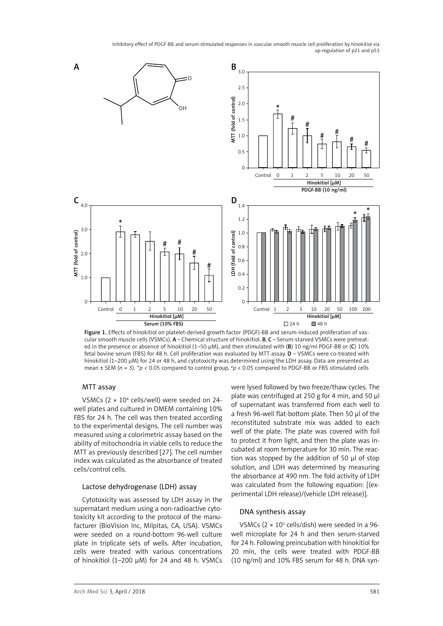

Figure 1. Effects of hinokitiol on platelet-derived growth factor (PDGF)-BB and serum-induced proliferation of vascular smooth muscle cells (VSMCs). A – Chemical structure of hinokitiol. B, C – Serum-starved VSMCs were pretreated in the presence or absence of hinokitiol (1–50 µM), and then stimulated with (B) 10 ng/ml PDGF-BB or (C) 10% fetal bovine serum (FBS) for 48 h. Cell proliferation was evaluated by MTT assay. D – VSMCs were co-treated with hinokitiol (1–200 µM) for 24 or 48 h, and cytotoxicity was determined using the LDH assay. Data are presented as mean ± SEM (*n* = 3). \**p* < 0.05 compared to control group, #*p* < 0.05 compared to PDGF-BB or FBS stimulated cells

#### MTT assay

VSMCs (2 × 104 cells/well) were seeded on 24 well plates and cultured in DMEM containing 10% FBS for 24 h. The cell was then treated according to the experimental designs. The cell number was measured using a colorimetric assay based on the ability of mitochondria in viable cells to reduce the MTT as previously described [27]. The cell number index was calculated as the absorbance of treated cells/control cells.

## Lactose dehydrogenase (LDH) assay

Cytotoxicity was assessed by LDH assay in the supernatant medium using a non-radioactive cytotoxicity kit according to the protocol of the manufacturer (BioVision Inc, Milpitas, CA, USA). VSMCs were seeded on a round-bottom 96-well culture plate in triplicate sets of wells. After incubation, cells were treated with various concentrations of hinokitiol (1-200  $\mu$ M) for 24 and 48 h. VSMCs were lysed followed by two freeze/thaw cycles. The plate was centrifuged at 250 g for 4 min, and 50 µl of supernatant was transferred from each well to a fresh 96-well flat-bottom plate. Then 50 µl of the reconstituted substrate mix was added to each well of the plate. The plate was covered with foil to protect it from light, and then the plate was incubated at room temperature for 30 min. The reaction was stopped by the addition of 50 µl of stop solution, and LDH was determined by measuring the absorbance at 490 nm. The fold activity of LDH was calculated from the following equation: [(experimental LDH release)/(vehicle LDH release)].

## DNA synthesis assay

VSMCs  $(2 \times 10^5 \text{ cells/dish})$  were seeded in a 96well microplate for 24 h and then serum-starved for 24 h. Following preincubation with hinokitiol for 20 min, the cells were treated with PDGF-BB (10 ng/ml) and 10% FBS serum for 48 h. DNA syn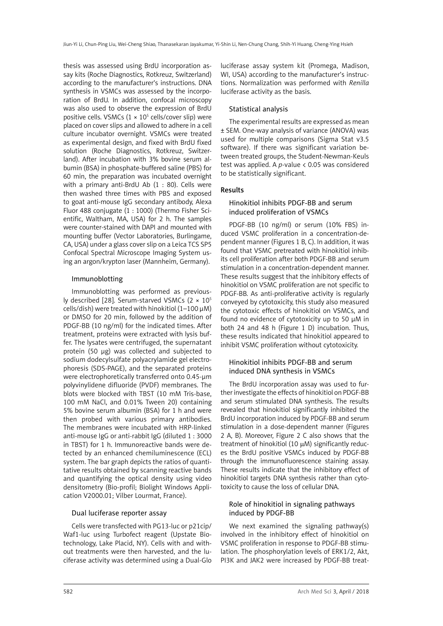thesis was assessed using BrdU incorporation assay kits (Roche Diagnostics, Rotkreuz, Switzerland) according to the manufacturer's instructions. DNA synthesis in VSMCs was assessed by the incorporation of BrdU. In addition, confocal microscopy was also used to observe the expression of BrdU positive cells. VSMCs  $(1 \times 10^5 \text{ cells/cover slip})$  were placed on cover slips and allowed to adhere in a cell culture incubator overnight. VSMCs were treated as experimental design, and fixed with BrdU fixed solution (Roche Diagnostics, Rotkreuz, Switzerland). After incubation with 3% bovine serum albumin (BSA) in phosphate-buffered saline (PBS) for 60 min, the preparation was incubated overnight with a primary anti-BrdU Ab (1 : 80). Cells were then washed three times with PBS and exposed to goat anti-mouse IgG secondary antibody, Alexa Fluor 488 conjugate (1 : 1000) (Thermo Fisher Scientific, Waltham, MA, USA) for 2 h. The samples were counter-stained with DAPI and mounted with mounting buffer (Vector Laboratories, Burlingame, CA, USA) under a glass cover slip on a Leica TCS SP5 Confocal Spectral Microscope Imaging System using an argon/krypton laser (Mannheim, Germany).

# Immunoblotting

Immunoblotting was performed as previously described [28]. Serum-starved VSMCs  $(2 \times 10^5$ cells/dish) were treated with hinokitiol  $(1-100 \mu M)$ or DMSO for 20 min, followed by the addition of PDGF-BB (10 ng/ml) for the indicated times. After treatment, proteins were extracted with lysis buffer. The lysates were centrifuged, the supernatant protein (50 µg) was collected and subjected to sodium dodecylsulfate polyacrylamide gel electrophoresis (SDS-PAGE), and the separated proteins were electrophoretically transferred onto 0.45-µm polyvinylidene difluoride (PVDF) membranes. The blots were blocked with TBST (10 mM Tris-base, 100 mM NaCl, and 0.01% Tween 20) containing 5% bovine serum albumin (BSA) for 1 h and were then probed with various primary antibodies. The membranes were incubated with HRP-linked anti-mouse IgG or anti-rabbit IgG (diluted 1 : 3000 in TBST) for 1 h. Immunoreactive bands were detected by an enhanced chemiluminescence (ECL) system. The bar graph depicts the ratios of quantitative results obtained by scanning reactive bands and quantifying the optical density using video densitometry (Bio-profil; Biolight Windows Application V2000.01; Vilber Lourmat, France).

## Dual luciferase reporter assay

Cells were transfected with PG13-luc or p21cip/ Waf1-luc using Turbofect reagent (Upstate Biotechnology, Lake Placid, NY). Cells with and without treatments were then harvested, and the luciferase activity was determined using a Dual-Glo

luciferase assay system kit (Promega, Madison, WI, USA) according to the manufacturer's instructions. Normalization was performed with *Renilla* luciferase activity as the basis.

# Statistical analysis

The experimental results are expressed as mean ± SEM. One-way analysis of variance (ANOVA) was used for multiple comparisons (Sigma Stat v3.5 software). If there was significant variation between treated groups, the Student-Newman-Keuls test was applied. A *p-*value < 0.05 was considered to be statistically significant.

# Results

# Hinokitiol inhibits PDGF-BB and serum induced proliferation of VSMCs

PDGF-BB (10 ng/ml) or serum (10% FBS) induced VSMC proliferation in a concentration-dependent manner (Figures 1 B, C). In addition, it was found that VSMC pretreated with hinokitiol inhibits cell proliferation after both PDGF-BB and serum stimulation in a concentration-dependent manner. These results suggest that the inhibitory effects of hinokitiol on VSMC proliferation are not specific to PDGF-BB. As anti-proliferative activity is regularly conveyed by cytotoxicity, this study also measured the cytotoxic effects of hinokitiol on VSMCs, and found no evidence of cytotoxicity up to 50 µM in both 24 and 48 h (Figure 1 D) incubation. Thus, these results indicated that hinokitiol appeared to inhibit VSMC proliferation without cytotoxicity.

# Hinokitiol inhibits PDGF-BB and serum induced DNA synthesis in VSMCs

The BrdU incorporation assay was used to further investigate the effects of hinokitiol on PDGF-BB and serum stimulated DNA synthesis. The results revealed that hinokitiol significantly inhibited the BrdU incorporation induced by PDGF-BB and serum stimulation in a dose-dependent manner (Figures 2 A, B). Moreover, Figure 2 C also shows that the treatment of hinokitiol (10  $\mu$ M) significantly reduces the BrdU positive VSMCs induced by PDGF-BB through the immunofluorescence staining assay. These results indicate that the inhibitory effect of hinokitiol targets DNA synthesis rather than cytotoxicity to cause the loss of cellular DNA.

# Role of hinokitiol in signaling pathways induced by PDGF-BB

We next examined the signaling pathway(s) involved in the inhibitory effect of hinokitiol on VSMC proliferation in response to PDGF-BB stimulation. The phosphorylation levels of ERK1/2, Akt, PI3K and JAK2 were increased by PDGF-BB treat-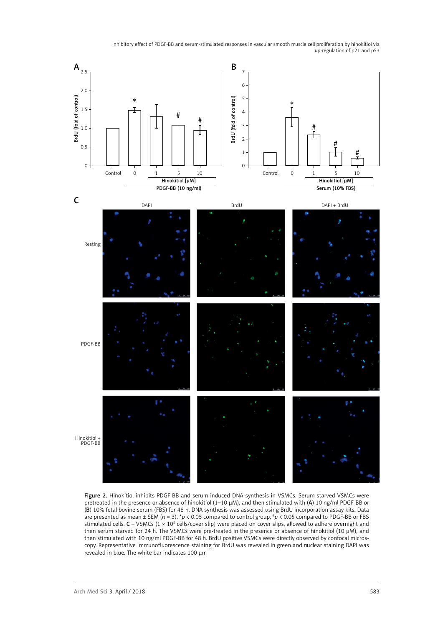

Figure 2. Hinokitiol inhibits PDGF-BB and serum induced DNA synthesis in VSMCs. Serum-starved VSMCs were pretreated in the presence or absence of hinokitiol (1–10 µM), and then stimulated with (A) 10 ng/ml PDGF-BB or (B) 10% fetal bovine serum (FBS) for 48 h. DNA synthesis was assessed using BrdU incorporation assay kits. Data are presented as mean ± SEM (*n* = 3). \**p* < 0.05 compared to control group, #*p* < 0.05 compared to PDGF-BB or FBS stimulated cells.  $C - VSMCs$  (1 × 10<sup>5</sup> cells/cover slip) were placed on cover slips, allowed to adhere overnight and then serum starved for 24 h. The VSMCs were pre-treated in the presence or absence of hinokitiol (10 µM), and then stimulated with 10 ng/ml PDGF-BB for 48 h. BrdU positive VSMCs were directly observed by confocal microscopy. Representative immunofluorescence staining for BrdU was revealed in green and nuclear staining DAPI was revealed in blue. The white bar indicates 100 µm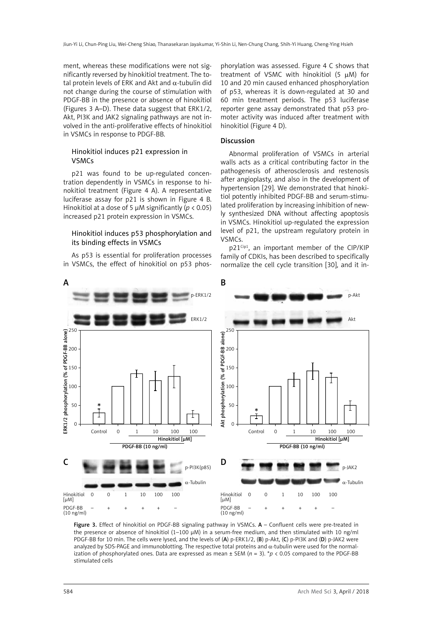ment, whereas these modifications were not significantly reversed by hinokitiol treatment. The total protein levels of ERK and Akt and  $\alpha$ -tubulin did not change during the course of stimulation with PDGF-BB in the presence or absence of hinokitiol (Figures 3 A–D). These data suggest that ERK1/2, Akt, PI3K and JAK2 signaling pathways are not involved in the anti-proliferative effects of hinokitiol in VSMCs in response to PDGF-BB.

## Hinokitiol induces p21 expression in VSMCs

p21 was found to be up-regulated concentration dependently in VSMCs in response to hinokitiol treatment (Figure 4 A). A representative luciferase assay for p21 is shown in Figure 4 B. Hinokitiol at a dose of 5  $\mu$ M significantly (*p* < 0.05) increased p21 protein expression in VSMCs.

## Hinokitiol induces p53 phosphorylation and its binding effects in VSMCs

As p53 is essential for proliferation processes in VSMCs, the effect of hinokitiol on p53 phos-

phorylation was assessed. Figure 4 C shows that treatment of VSMC with hinokitiol  $(5 \mu M)$  for 10 and 20 min caused enhanced phosphorylation of p53, whereas it is down-regulated at 30 and 60 min treatment periods. The p53 luciferase reporter gene assay demonstrated that p53 promoter activity was induced after treatment with hinokitiol (Figure 4 D).

## Discussion

Abnormal proliferation of VSMCs in arterial walls acts as a critical contributing factor in the pathogenesis of atherosclerosis and restenosis after angioplasty, and also in the development of hypertension [29]. We demonstrated that hinokitiol potently inhibited PDGF-BB and serum-stimulated proliferation by increasing inhibition of newly synthesized DNA without affecting apoptosis in VSMCs. Hinokitiol up-regulated the expression level of p21, the upstream regulatory protein in VSMCs.

p21<sup>Cip1</sup>, an important member of the CIP/KIP family of CDKIs, has been described to specifically normalize the cell cycle transition [30], and it in-



Figure 3. Effect of hinokitiol on PDGF-BB signaling pathway in VSMCs. A - Confluent cells were pre-treated in the presence or absence of hinokitiol  $(1-100 \mu)$  in a serum-free medium, and then stimulated with 10 ng/ml PDGF-BB for 10 min. The cells were lysed, and the levels of (A) p-ERK1/2, (B) p-Akt, (C) p-PI3K and (D) p-JAK2 were analyzed by SDS-PAGE and immunoblotting. The respective total proteins and  $\alpha$ -tubulin were used for the normalization of phosphorylated ones. Data are expressed as mean ± SEM (*n* = 3). \**p* < 0.05 compared to the PDGF-BB stimulated cells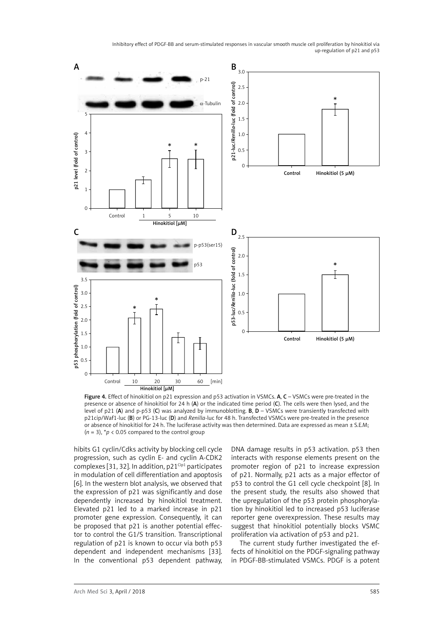

Figure 4. Effect of hinokitiol on p21 expression and p53 activation in VSMCs. A, C - VSMCs were pre-treated in the presence or absence of hinokitiol for 24 h (A) or the indicated time period (C). The cells were then lysed, and the level of p21 (A) and p-p53 (C) was analyzed by immunoblotting. B,  $D - VSMCs$  were transiently transfected with p21cip/Waf1-luc (B) or PG-13-luc (D) and *Renilla*-luc for 48 h. Transfected VSMCs were pre-treated in the presence or absence of hinokitiol for 24 h. The luciferase activity was then determined. Data are expressed as mean ± S.E.M;  $(n = 3)$ ,  $p \le 0.05$  compared to the control group

hibits G1 cyclin/Cdks activity by blocking cell cycle progression, such as cyclin E- and cyclin A-CDK2 complexes [31, 32]. In addition,  $p21^{Cip1}$  participates in modulation of cell differentiation and apoptosis [6]. In the western blot analysis, we observed that the expression of p21 was significantly and dose dependently increased by hinokitiol treatment. Elevated p21 led to a marked increase in p21 promoter gene expression. Consequently, it can be proposed that p21 is another potential effector to control the G1/S transition. Transcriptional regulation of p21 is known to occur via both p53 dependent and independent mechanisms [33]. In the conventional p53 dependent pathway,

DNA damage results in p53 activation. p53 then interacts with response elements present on the promoter region of p21 to increase expression of p21. Normally, p21 acts as a major effector of p53 to control the G1 cell cycle checkpoint [8]. In the present study, the results also showed that the upregulation of the p53 protein phosphorylation by hinokitiol led to increased p53 luciferase reporter gene overexpression. These results may suggest that hinokitiol potentially blocks VSMC proliferation via activation of p53 and p21.

The current study further investigated the effects of hinokitiol on the PDGF-signaling pathway in PDGF-BB-stimulated VSMCs. PDGF is a potent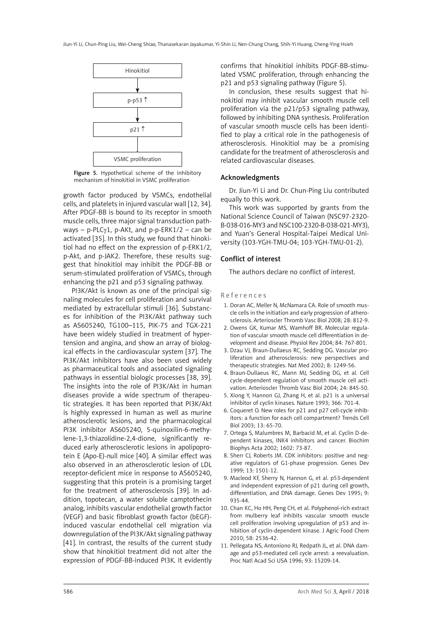

Figure 5. Hypothetical scheme of the inhibitory mechanism of hinokitiol in VSMC proliferation

growth factor produced by VSMCs, endothelial cells, and platelets in injured vascular wall [12, 34]. After PDGF-BB is bound to its receptor in smooth muscle cells, three major signal transduction pathways – p-PLC $\gamma$ 1, p-AKt, and p-p-ERK1/2 – can be activated [35]. In this study, we found that hinokitiol had no effect on the expression of p-ERK1/2, p-Akt, and p-JAK2. Therefore, these results suggest that hinokitiol may inhibit the PDGF-BB or serum-stimulated proliferation of VSMCs, through enhancing the p21 and p53 signaling pathway.

PI3K/Akt is known as one of the principal signaling molecules for cell proliferation and survival mediated by extracellular stimuli [36]. Substances for inhibition of the PI3K/Akt pathway such as AS605240, TG100–115, PIK-75 and TGX-221 have been widely studied in treatment of hypertension and angina, and show an array of biological effects in the cardiovascular system [37]. The PI3K/Akt inhibitors have also been used widely as pharmaceutical tools and associated signaling pathways in essential biologic processes [38, 39]. The insights into the role of PI3K/Akt in human diseases provide a wide spectrum of therapeutic strategies. It has been reported that PI3K/Akt is highly expressed in human as well as murine atherosclerotic lesions, and the pharmacological PI3K inhibitor AS605240, 5-quinoxilin-6-methylene-1,3-thiazolidine-2,4-dione, significantly reduced early atherosclerotic lesions in apolipoprotein E (Apo-E)-null mice [40]. A similar effect was also observed in an atherosclerotic lesion of LDL receptor-deficient mice in response to AS605240, suggesting that this protein is a promising target for the treatment of atherosclerosis [39]. In addition, topotecan, a water soluble camptothecin analog, inhibits vascular endothelial growth factor (VEGF) and basic fibroblast growth factor (bEGF) induced vascular endothelial cell migration via downregulation of the PI3K/Akt signaling pathway [41]. In contrast, the results of the current study show that hinokitiol treatment did not alter the expression of PDGF-BB-induced PI3K. It evidently

confirms that hinokitiol inhibits PDGF-BB-stimulated VSMC proliferation, through enhancing the p21 and p53 signaling pathway (Figure 5).

In conclusion, these results suggest that hinokitiol may inhibit vascular smooth muscle cell proliferation via the p21/p53 signaling pathway, followed by inhibiting DNA synthesis. Proliferation of vascular smooth muscle cells has been identified to play a critical role in the pathogenesis of atherosclerosis. Hinokitiol may be a promising candidate for the treatment of atherosclerosis and related cardiovascular diseases.

#### Acknowledgments

Dr. Jiun-Yi Li and Dr. Chun-Ping Liu contributed equally to this work.

This work was supported by grants from the National Science Council of Taiwan (NSC97-2320- B-038-016-MY3 and NSC100-2320-B-038-021-MY3), and Yuan's General Hospital-Taipei Medical University (103-YGH-TMU-04; 103-YGH-TMU-01-2).

# Conflict of interest

The authors declare no conflict of interest.

#### References

- 1. Doran AC, Meller N, McNamara CA. Role of smooth muscle cells in the initiation and early progression of atherosclerosis. Arterioscler Thromb Vasc Biol 2008; 28: 812-9.
- 2. Owens GK, Kumar MS, Wamhoff BR. Molecular regulation of vascular smooth muscle cell differentiation in development and disease. Physiol Rev 2004; 84: 767-801.
- 3. Dzau VJ, Braun-Dullaeus RC, Sedding DG. Vascular proliferation and atherosclerosis: new perspectives and therapeutic strategies. Nat Med 2002; 8: 1249-56.
- 4. Braun-Dullaeus RC, Mann MJ, Sedding DG, et al. Cell cycle-dependent regulation of smooth muscle cell activation. Arterioscler Thromb Vasc Biol 2004; 24: 845-50.
- 5. Xiong Y, Hannon GJ, Zhang H, et al. p21 is a universal inhibitor of cyclin kinases. Nature 1993; 366: 701-4.
- 6. Coqueret O. New roles for p21 and p27 cell-cycle inhibitors: a function for each cell compartment? Trends Cell Biol 2003; 13: 65-70.
- 7. Ortega S, Malumbres M, Barbacid M, et al. Cyclin D-dependent kinases, INK4 inhibitors and cancer. Biochim Biophys Acta 2002; 1602: 73-87.
- 8. Sherr CJ, Roberts JM. CDK inhibitors: positive and negative regulators of G1-phase progression. Genes Dev 1999; 13: 1501-12.
- 9. Macleod KF, Sherry N, Hannon G, et al. p53-dependent and independent expression of p21 during cell growth, differentiation, and DNA damage. Genes Dev 1995; 9: 935-44.
- 10. Chan KC, Ho HH, Peng CH, et al. Polyphenol-rich extract from mulberry leaf inhibits vascular smooth muscle cell proliferation involving upregulation of p53 and inhibition of cyclin-dependent kinase. J Agric Food Chem 2010; 58: 2536-42.
- 11. Pellegata NS, Antoniono RJ, Redpath JL, et al. DNA damage and p53-mediated cell cycle arrest: a reevaluation. Proc Natl Acad Sci USA 1996; 93: 15209-14.